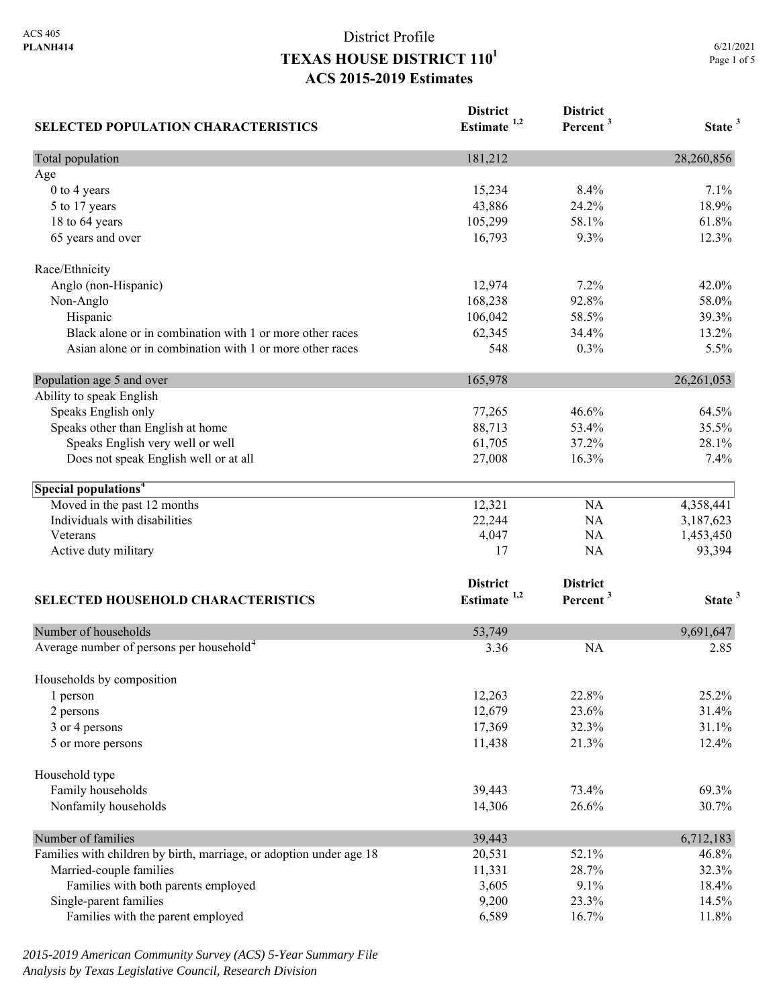| <b>SELECTED POPULATION CHARACTERISTICS</b>                          | <b>District</b><br>Estimate <sup>1,2</sup> | <b>District</b><br>Percent <sup>3</sup> | State <sup>3</sup> |
|---------------------------------------------------------------------|--------------------------------------------|-----------------------------------------|--------------------|
| Total population                                                    | 181,212                                    |                                         | 28,260,856         |
| Age                                                                 |                                            |                                         |                    |
| 0 to 4 years                                                        | 15,234                                     | 8.4%                                    | 7.1%               |
| 5 to 17 years                                                       | 43,886                                     | 24.2%                                   | 18.9%              |
| 18 to 64 years                                                      | 105,299                                    | 58.1%                                   | 61.8%              |
| 65 years and over                                                   | 16,793                                     | 9.3%                                    | 12.3%              |
| Race/Ethnicity                                                      |                                            |                                         |                    |
| Anglo (non-Hispanic)                                                | 12,974                                     | 7.2%                                    | 42.0%              |
| Non-Anglo                                                           | 168,238                                    | 92.8%                                   | 58.0%              |
| Hispanic                                                            | 106,042                                    | 58.5%                                   | 39.3%              |
| Black alone or in combination with 1 or more other races            | 62,345                                     | 34.4%                                   | 13.2%              |
| Asian alone or in combination with 1 or more other races            | 548                                        | 0.3%                                    | 5.5%               |
| Population age 5 and over                                           | 165,978                                    |                                         | 26, 261, 053       |
| Ability to speak English                                            |                                            |                                         |                    |
| Speaks English only                                                 | 77,265                                     | 46.6%                                   | 64.5%              |
| Speaks other than English at home                                   | 88,713                                     | 53.4%                                   | 35.5%              |
| Speaks English very well or well                                    | 61,705                                     | 37.2%                                   | 28.1%              |
| Does not speak English well or at all                               | 27,008                                     | 16.3%                                   | 7.4%               |
| Special populations <sup>4</sup>                                    |                                            |                                         |                    |
| Moved in the past 12 months                                         | 12,321                                     | <b>NA</b>                               | 4,358,441          |
| Individuals with disabilities                                       | 22,244                                     | NA                                      | 3,187,623          |
| Veterans                                                            | 4,047                                      | NA                                      | 1,453,450          |
| Active duty military                                                | 17                                         | NA                                      | 93,394             |
|                                                                     | <b>District</b>                            | <b>District</b>                         |                    |
| SELECTED HOUSEHOLD CHARACTERISTICS                                  | Estimate $1,2$                             | Percent <sup>3</sup>                    | State <sup>3</sup> |
| Number of households                                                | 53,749                                     |                                         | 9,691,647          |
| Average number of persons per household <sup>4</sup>                | 3.36                                       | <b>NA</b>                               | 2.85               |
|                                                                     |                                            |                                         |                    |
| Households by composition<br>1 person                               | 12,263                                     | 22.8%                                   | 25.2%              |
|                                                                     | 12,679                                     | 23.6%                                   | 31.4%              |
| 2 persons                                                           | 17,369                                     | 32.3%                                   | 31.1%              |
| 3 or 4 persons<br>5 or more persons                                 | 11,438                                     | 21.3%                                   | 12.4%              |
|                                                                     |                                            |                                         |                    |
| Household type                                                      |                                            |                                         |                    |
| Family households                                                   | 39,443                                     | 73.4%                                   | 69.3%              |
| Nonfamily households                                                | 14,306                                     | 26.6%                                   | 30.7%              |
| Number of families                                                  | 39,443                                     |                                         | 6,712,183          |
| Families with children by birth, marriage, or adoption under age 18 | 20,531                                     | 52.1%                                   | 46.8%              |
| Married-couple families                                             | 11,331                                     | 28.7%                                   | 32.3%              |
| Families with both parents employed                                 | 3,605                                      | 9.1%                                    | 18.4%              |
| Single-parent families                                              | 9,200                                      | 23.3%                                   | 14.5%              |
| Families with the parent employed                                   | 6,589                                      | 16.7%                                   | 11.8%              |

*2015-2019 American Community Survey (ACS) 5-Year Summary File Analysis by Texas Legislative Council, Research Division*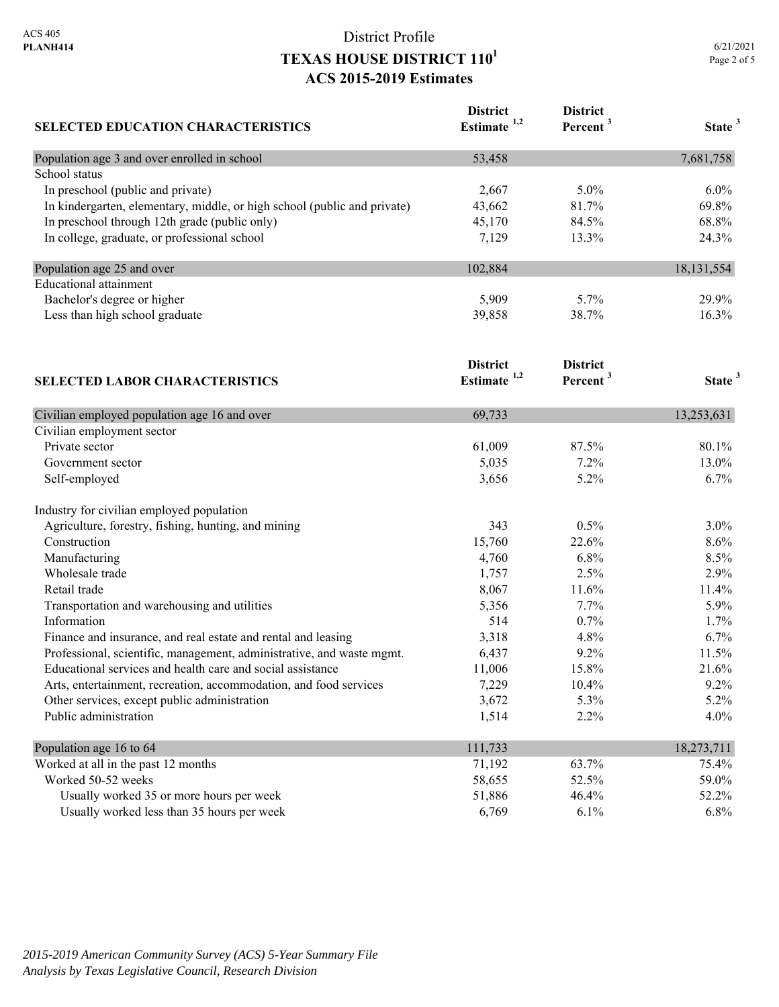| <b>SELECTED EDUCATION CHARACTERISTICS</b>                                | <b>District</b><br>Estimate <sup>1,2</sup> | <b>District</b><br>Percent <sup>3</sup> | State <sup>3</sup> |
|--------------------------------------------------------------------------|--------------------------------------------|-----------------------------------------|--------------------|
| Population age 3 and over enrolled in school                             | 53,458                                     |                                         | 7,681,758          |
| School status                                                            |                                            |                                         |                    |
| In preschool (public and private)                                        | 2,667                                      | 5.0%                                    | 6.0%               |
| In kindergarten, elementary, middle, or high school (public and private) | 43,662                                     | 81.7%                                   | 69.8%              |
| In preschool through 12th grade (public only)                            | 45,170                                     | 84.5%                                   | 68.8%              |
| In college, graduate, or professional school                             | 7,129                                      | 13.3%                                   | 24.3%              |
| Population age 25 and over                                               | 102,884                                    |                                         | 18, 131, 554       |
| <b>Educational</b> attainment                                            |                                            |                                         |                    |
| Bachelor's degree or higher                                              | 5,909                                      | 5.7%                                    | 29.9%              |
| Less than high school graduate                                           | 39,858                                     | 38.7%                                   | 16.3%              |
|                                                                          | <b>District</b>                            | <b>District</b>                         |                    |
| <b>SELECTED LABOR CHARACTERISTICS</b>                                    | Estimate $1,2$                             | Percent <sup>3</sup>                    | State <sup>3</sup> |
| Civilian employed population age 16 and over                             | 69,733                                     |                                         | 13,253,631         |
| Civilian employment sector                                               |                                            |                                         |                    |
| Private sector                                                           | 61,009                                     | 87.5%                                   | 80.1%              |
| Government sector                                                        | 5,035                                      | 7.2%                                    | 13.0%              |
| Self-employed                                                            | 3,656                                      | 5.2%                                    | 6.7%               |
| Industry for civilian employed population                                |                                            |                                         |                    |
| Agriculture, forestry, fishing, hunting, and mining                      | 343                                        | 0.5%                                    | 3.0%               |
| Construction                                                             | 15,760                                     | 22.6%                                   | 8.6%               |
| Manufacturing                                                            | 4,760                                      | 6.8%                                    | 8.5%               |
| Wholesale trade                                                          | 1,757                                      | 2.5%                                    | 2.9%               |
| Retail trade                                                             | 8,067                                      | 11.6%                                   | 11.4%              |
| Transportation and warehousing and utilities                             | 5,356                                      | 7.7%                                    | 5.9%               |
| Information                                                              | 514                                        | 0.7%                                    | 1.7%               |
| Finance and insurance, and real estate and rental and leasing            | 3,318                                      | 4.8%                                    | 6.7%               |
| Professional, scientific, management, administrative, and waste mgmt.    | 6,437                                      | 9.2%                                    | 11.5%              |
| Educational services and health care and social assistance               | 11,006                                     | 15.8%                                   | 21.6%              |
| Arts, entertainment, recreation, accommodation, and food services        | 7,229                                      | 10.4%                                   | 9.2%               |
| Other services, except public administration                             | 3,672                                      | 5.3%                                    | 5.2%               |
| Public administration                                                    | 1,514                                      | 2.2%                                    | 4.0%               |
| Population age 16 to 64                                                  | 111,733                                    |                                         | 18,273,711         |
| Worked at all in the past 12 months                                      | 71,192                                     | 63.7%                                   | 75.4%              |
| Worked 50-52 weeks                                                       | 58,655                                     | 52.5%                                   | 59.0%              |
| Usually worked 35 or more hours per week                                 | 51,886                                     | 46.4%                                   | 52.2%              |
| Usually worked less than 35 hours per week                               | 6,769                                      | 6.1%                                    | 6.8%               |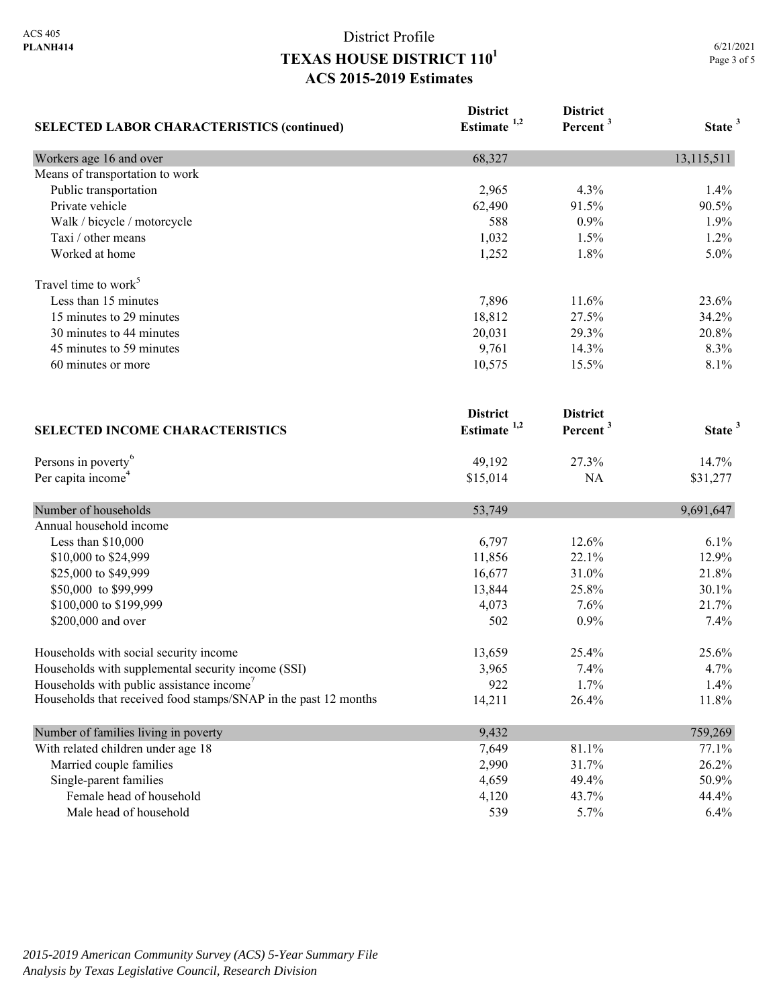| <b>SELECTED LABOR CHARACTERISTICS (continued)</b>               | <b>District</b>         | <b>District</b>      | State <sup>3</sup> |
|-----------------------------------------------------------------|-------------------------|----------------------|--------------------|
|                                                                 | Estimate <sup>1,2</sup> | Percent <sup>3</sup> |                    |
| Workers age 16 and over                                         | 68,327                  |                      | 13,115,511         |
| Means of transportation to work                                 |                         |                      |                    |
| Public transportation                                           | 2,965                   | 4.3%                 | 1.4%               |
| Private vehicle                                                 | 62,490                  | 91.5%                | 90.5%              |
| Walk / bicycle / motorcycle                                     | 588                     | 0.9%                 | 1.9%               |
| Taxi / other means                                              | 1,032                   | 1.5%                 | 1.2%               |
| Worked at home                                                  | 1,252                   | 1.8%                 | 5.0%               |
| Travel time to work <sup>5</sup>                                |                         |                      |                    |
| Less than 15 minutes                                            | 7,896                   | 11.6%                | 23.6%              |
| 15 minutes to 29 minutes                                        | 18,812                  | 27.5%                | 34.2%              |
| 30 minutes to 44 minutes                                        | 20,031                  | 29.3%                | 20.8%              |
| 45 minutes to 59 minutes                                        | 9,761                   | 14.3%                | 8.3%               |
| 60 minutes or more                                              | 10,575                  | 15.5%                | 8.1%               |
|                                                                 | <b>District</b>         | <b>District</b>      |                    |
| <b>SELECTED INCOME CHARACTERISTICS</b>                          | Estimate $1,2$          | Percent <sup>3</sup> | State <sup>3</sup> |
| Persons in poverty <sup>6</sup>                                 | 49,192                  | 27.3%                | 14.7%              |
| Per capita income <sup>4</sup>                                  | \$15,014                | <b>NA</b>            | \$31,277           |
| Number of households                                            | 53,749                  |                      | 9,691,647          |
| Annual household income                                         |                         |                      |                    |
| Less than \$10,000                                              | 6,797                   | 12.6%                | 6.1%               |
| \$10,000 to \$24,999                                            | 11,856                  | 22.1%                | 12.9%              |
| \$25,000 to \$49,999                                            | 16,677                  | 31.0%                | 21.8%              |
| \$50,000 to \$99,999                                            | 13,844                  | 25.8%                | 30.1%              |
| \$100,000 to \$199,999                                          | 4,073                   | 7.6%                 | 21.7%              |
| \$200,000 and over                                              | 502                     | 0.9%                 | 7.4%               |
| Households with social security income                          | 13,659                  | 25.4%                | 25.6%              |
| Households with supplemental security income (SSI)              | 3,965                   | 7.4%                 | 4.7%               |
| Households with public assistance income'                       | 922                     | 1.7%                 | 1.4%               |
| Households that received food stamps/SNAP in the past 12 months | 14,211                  | 26.4%                | 11.8%              |
| Number of families living in poverty                            | 9,432                   |                      | 759,269            |
| With related children under age 18                              | 7,649                   | 81.1%                | 77.1%              |
| Married couple families                                         | 2,990                   | 31.7%                | 26.2%              |
| Single-parent families                                          | 4,659                   | 49.4%                | 50.9%              |
| Female head of household                                        | 4,120                   | 43.7%                | 44.4%              |
| Male head of household                                          | 539                     | 5.7%                 | 6.4%               |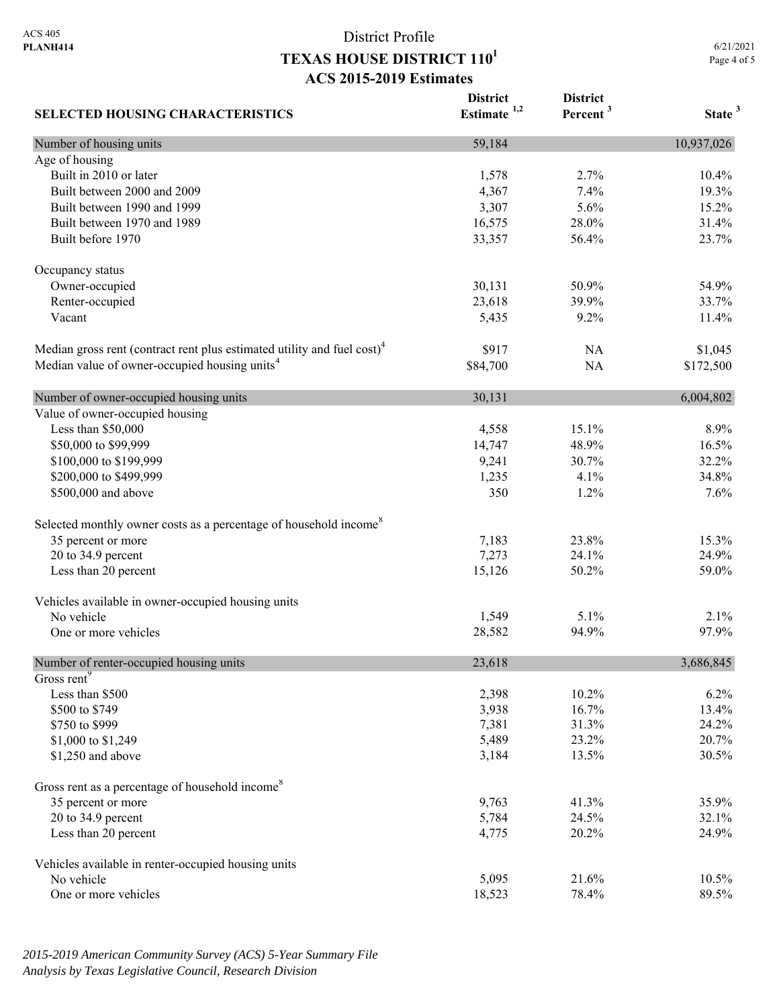**District** 

**District** 

6/21/2021 Page 4 of 5 **Percent <sup>3</sup> State <sup>3</sup>**

| <b>SELECTED HOUSING CHARACTERISTICS</b>                                             | Estimate <sup>1,2</sup> | рвим<br>Percent <sup>3</sup> | State <sup>:</sup> |
|-------------------------------------------------------------------------------------|-------------------------|------------------------------|--------------------|
| Number of housing units                                                             | 59,184                  |                              | 10,937,026         |
| Age of housing                                                                      |                         |                              |                    |
| Built in 2010 or later                                                              | 1,578                   | 2.7%                         | 10.4%              |
| Built between 2000 and 2009                                                         | 4,367                   | 7.4%                         | 19.3%              |
| Built between 1990 and 1999                                                         | 3,307                   | 5.6%                         | 15.2%              |
| Built between 1970 and 1989                                                         | 16,575                  | 28.0%                        | 31.4%              |
| Built before 1970                                                                   | 33,357                  | 56.4%                        | 23.7%              |
| Occupancy status                                                                    |                         |                              |                    |
| Owner-occupied                                                                      | 30,131                  | 50.9%                        | 54.9%              |
| Renter-occupied                                                                     | 23,618                  | 39.9%                        | 33.7%              |
| Vacant                                                                              | 5,435                   | 9.2%                         | 11.4%              |
| Median gross rent (contract rent plus estimated utility and fuel cost) <sup>4</sup> | \$917                   | NA                           | \$1,045            |
| Median value of owner-occupied housing units <sup>4</sup>                           | \$84,700                | NA                           | \$172,500          |
| Number of owner-occupied housing units                                              | 30,131                  |                              | 6,004,802          |
| Value of owner-occupied housing                                                     |                         |                              |                    |
| Less than \$50,000                                                                  | 4,558                   | 15.1%                        | 8.9%               |
| \$50,000 to \$99,999                                                                | 14,747                  | 48.9%                        | 16.5%              |
| \$100,000 to \$199,999                                                              | 9,241                   | 30.7%                        | 32.2%              |
|                                                                                     |                         |                              |                    |
| \$200,000 to \$499,999                                                              | 1,235                   | 4.1%                         | 34.8%              |
| \$500,000 and above                                                                 | 350                     | 1.2%                         | 7.6%               |
| Selected monthly owner costs as a percentage of household income <sup>8</sup>       |                         |                              |                    |
| 35 percent or more                                                                  | 7,183                   | 23.8%                        | 15.3%              |
| 20 to 34.9 percent                                                                  | 7,273                   | 24.1%                        | 24.9%              |
| Less than 20 percent                                                                | 15,126                  | 50.2%                        | 59.0%              |
| Vehicles available in owner-occupied housing units                                  |                         |                              |                    |
| No vehicle                                                                          | 1,549                   | 5.1%                         | 2.1%               |
| One or more vehicles                                                                | 28,582                  | 94.9%                        | 97.9%              |
| Number of renter-occupied housing units                                             | 23,618                  |                              | 3,686,845          |
| Gross rent <sup>9</sup>                                                             |                         |                              |                    |
| Less than \$500                                                                     | 2,398                   | 10.2%                        | $6.2\%$            |
| \$500 to \$749                                                                      | 3,938                   | 16.7%                        | 13.4%              |
| \$750 to \$999                                                                      | 7,381                   | 31.3%                        | 24.2%              |
| \$1,000 to \$1,249                                                                  | 5,489                   | 23.2%                        | 20.7%              |
| \$1,250 and above                                                                   | 3,184                   | 13.5%                        | 30.5%              |
| Gross rent as a percentage of household income <sup>8</sup>                         |                         |                              |                    |
| 35 percent or more                                                                  | 9,763                   | 41.3%                        | 35.9%              |
| 20 to 34.9 percent                                                                  | 5,784                   | 24.5%                        | 32.1%              |
| Less than 20 percent                                                                | 4,775                   | 20.2%                        | 24.9%              |
| Vehicles available in renter-occupied housing units                                 |                         |                              |                    |
| No vehicle                                                                          | 5,095                   | 21.6%                        | $10.5\%$           |
| One or more vehicles                                                                | 18,523                  | 78.4%                        | 89.5%              |